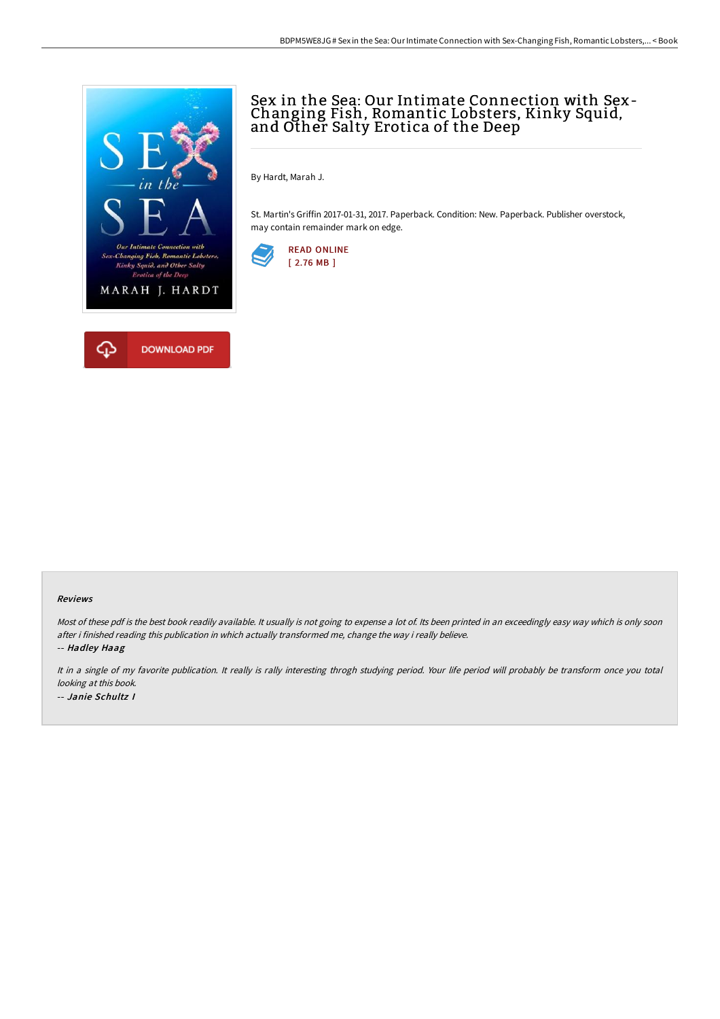

# Sex in the Sea: Our Intimate Connection with Sex-Changing Fish, Romantic Lobsters, Kinky Squid, and Other Salty Erotica of the Deep

By Hardt, Marah J.

St. Martin's Griffin 2017-01-31, 2017. Paperback. Condition: New. Paperback. Publisher overstock, may contain remainder mark on edge.



#### Reviews

Most of these pdf is the best book readily available. It usually is not going to expense a lot of. Its been printed in an exceedingly easy way which is only soon after i finished reading this publication in which actually transformed me, change the way i really believe.

-- Hadley Haag

It in <sup>a</sup> single of my favorite publication. It really is rally interesting throgh studying period. Your life period will probably be transform once you total looking at this book. -- Janie Schultz I